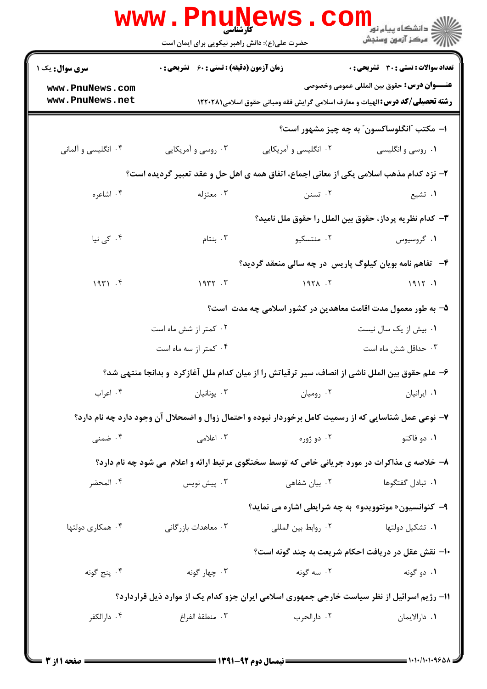|                                                                                               | <b>www.PnuNews</b><br>حضرت علی(ع): دانش راهبر نیکویی برای ایمان است |                       | ≦ دانشگاه پیام نو <mark>ر</mark><br>أأأآه مركز آزمون وسنجش                                                                                  |  |  |  |
|-----------------------------------------------------------------------------------------------|---------------------------------------------------------------------|-----------------------|---------------------------------------------------------------------------------------------------------------------------------------------|--|--|--|
| <b>سری سوال :</b> یک ۱                                                                        | <b>زمان آزمون (دقیقه) : تستی : 60 ٪ تشریحی : 0</b>                  |                       | <b>تعداد سوالات : تستی : 30 ٪ تشریحی : 0</b>                                                                                                |  |  |  |
| www.PnuNews.com<br>www.PnuNews.net                                                            |                                                                     |                       | <b>عنــــوان درس:</b> حقوق بين المللي عمومي وخصوصي<br><b>رشته تحصیلی/کد درس: ا</b> لهیات و معارف اسلامی گرایش فقه ومبانی حقوق اسلامی1۲۲۰۲۸۱ |  |  |  |
|                                                                                               |                                                                     |                       | ا– مکتب "انگلوساکسون" به چه چیز مشهور است؟                                                                                                  |  |  |  |
| ۰۴ انگلیسی و آلمانی                                                                           | ۰۳ روسی و آمریکایی                                                  | ۰۲ انگلیسی و آمریکایی | ۰۱ روسی و انگلیسی                                                                                                                           |  |  |  |
| ۲- نزد کدام مذهب اسلامی یکی از معانی اجماع، اتفاق همه ی اهل حل و عقد تعبیر گردیده است؟        |                                                                     |                       |                                                                                                                                             |  |  |  |
| ۰۴ اشاعره                                                                                     | ۰۳ معتزله                                                           | ۰۲ تسنن               | ۰۱ تشيع                                                                                                                                     |  |  |  |
|                                                                                               |                                                                     |                       | ٣- كدام نظريه پرداز، حقوق بين الملل را حقوق ملل ناميد؟                                                                                      |  |  |  |
| ۰۴ کی نیا                                                                                     | ۰۳ بنتام                                                            | ۰۲ منتسکیو            | ۰۱ گروسیوس                                                                                                                                  |  |  |  |
|                                                                                               |                                                                     |                       | ۴-۔ تفاهم نامه بویان کیلوگ پاریس در چه سالی منعقد گردید؟                                                                                    |  |  |  |
| 1941.5                                                                                        | 1977.7                                                              | $197\lambda$ .        | 1917.1                                                                                                                                      |  |  |  |
|                                                                                               |                                                                     |                       | ۵– به طور معمول مدت اقامت معاهدین در کشور اسلامی چه مدت است؟                                                                                |  |  |  |
|                                                                                               | ۰۲ کمتر از شش ماه است                                               |                       | ۰۱ بیش از یک سال نیست                                                                                                                       |  |  |  |
|                                                                                               | ۰۴ کمتر از سه ماه است                                               |                       | ۰۳ حداقل شش ماه است                                                                                                                         |  |  |  |
|                                                                                               |                                                                     |                       | ۶– علم حقوق بین الملل ناشی از انصاف، سیر ترقیاتش را از میان کدام ملل آغازکرد ًو بدانجا منتهی شد؟                                            |  |  |  |
| ۰۴ اعراب                                                                                      | ۰۳ يونانيان                                                         | ۰۲ رومیان             | ۰۱ ایرانیان                                                                                                                                 |  |  |  |
|                                                                                               |                                                                     |                       | ۷- نوعی عمل شناسایی که از رسمیت کامل برخوردار نبوده و احتمال زوال و اضمحلال آن وجود دارد چه نام دارد؟                                       |  |  |  |
| ۰۴ ضمنی                                                                                       | ۰۳ اعلامی                                                           | ۰۲ دو ژوره            | ۰۱ دو فاکتو                                                                                                                                 |  |  |  |
| ۸– خلاصه ی مذاکرات در مورد جریانی خاص که توسط سخنگوی مرتبط ارائه و اعلام  می شود چه نام دارد؟ |                                                                     |                       |                                                                                                                                             |  |  |  |
| ۰۴ المحضر                                                                                     | بيش نويس $\cdot^{\mathsf{v}}$                                       | ۰۲ بیان شفاهی         | ٠١. تبادل گفتگوها                                                                                                                           |  |  |  |
|                                                                                               |                                                                     |                       | ۹- کنوانسیون« مونتوویدو» به چه شرایطی اشاره می نماید؟                                                                                       |  |  |  |
| ۰۴ همکاری دولتها                                                                              | ۰۳ معاهدات بازرگانی                                                 | ٠٢ روابط بين المللي   | ۰۱ تشکیل دولتها                                                                                                                             |  |  |  |
|                                                                                               |                                                                     |                       | ∙ا− نقش عقل در دریافت احکام شریعت به چند گونه است؟                                                                                          |  |  |  |
| ۰۴ پنج گونه                                                                                   | ۰۳ چهار گونه                                                        | ۰۲ سه گونه            | ۰۱ دو گونه                                                                                                                                  |  |  |  |
|                                                                                               |                                                                     |                       | 11- رژیم اسرائیل از نظر سیاست خارجی جمهوری اسلامی ایران جزو کدام یک از موارد ذیل قراردارد؟                                                  |  |  |  |
| ۰۴ دارالکفر                                                                                   | ٠٣ منطقهٔ الفراغ                                                    | ۰۲ دارالحرب           | ٠١ دارالايمان                                                                                                                               |  |  |  |
|                                                                                               |                                                                     |                       |                                                                                                                                             |  |  |  |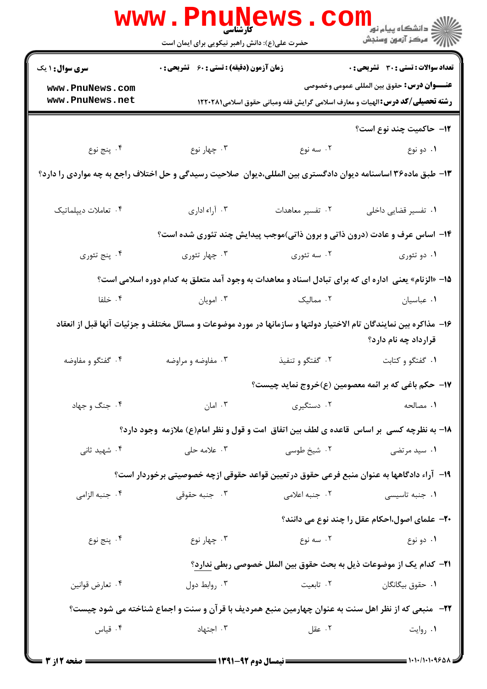|                                                                                                                                           | WWW.Pnuw<br>حضرت علی(ع): دانش راهبر نیکویی برای ایمان است                                                    |                  | الاد دانشگاه پيام نور دا<br>الاس مرکز آزمون وسنجش                                                                                          |  |  |
|-------------------------------------------------------------------------------------------------------------------------------------------|--------------------------------------------------------------------------------------------------------------|------------------|--------------------------------------------------------------------------------------------------------------------------------------------|--|--|
| <b>سری سوال : ۱ یک</b>                                                                                                                    | <b>زمان آزمون (دقیقه) : تستی : 60 ٪ تشریحی : 0</b>                                                           |                  | تعداد سوالات : تستي : 30 ٪ تشريحي : 0                                                                                                      |  |  |
| www.PnuNews.com<br>www.PnuNews.net                                                                                                        |                                                                                                              |                  | <b>عنـــوان درس:</b> حقوق بين المللي عمومي وخصوصي<br><b>رشته تحصیلی/کد درس: ا</b> لهیات و معارف اسلامی گرایش فقه ومبانی حقوق اسلامی1۲۲۰۲۸۱ |  |  |
|                                                                                                                                           |                                                                                                              |                  | <b>۱۲</b> - حاکمیت چند نوع است؟                                                                                                            |  |  |
| ۰۴ پنج نوع                                                                                                                                | ۰۳ چهار نوع                                                                                                  | ۰۲ سه نوع        | ۰۱ دو نوع                                                                                                                                  |  |  |
| ۱۳- طبق ماده۳۶ اساسنامه دیوان دادگستری بین المللی،دیوان  صلاحیت رسیدگی و حل اختلاف راجع به چه مواردی را دارد؟                             |                                                                                                              |                  |                                                                                                                                            |  |  |
| ۰۴ تعاملات ديپلماتيک                                                                                                                      | ۰۳ آراء اداری                                                                                                | ۰۲ تفسیر معاهدات | ٠١ تفسير قضايي داخلي                                                                                                                       |  |  |
|                                                                                                                                           |                                                                                                              |                  | ۱۴- اساس عرف و عادت (درون ذاتی و برون ذاتی)موجب پیدایش چند تئوری شده است؟                                                                  |  |  |
| ۰۴ پنج تئوري                                                                                                                              | ۰۳ چهار تئوري                                                                                                | ۰۲ سه تئوري      | ۰۱ دو تئوري                                                                                                                                |  |  |
| ۱۵– «الزنام» یعنی  اداره ای که برای تبادل اسناد و معاهدات به وجود آمد متعلق به کدام دوره اسلامی است؟                                      |                                                                                                              |                  |                                                                                                                                            |  |  |
| ۰۴ خلفا                                                                                                                                   | ۰۳ امویان                                                                                                    | ۰۲ ممالیک        | ٠١ عباسيان                                                                                                                                 |  |  |
| ۱۶– مذاکره بین نمایندگان تام الاختیار دولتها و سازمانها در مورد موضوعات و مسائل مختلف و جزئیات آنها قبل از انعقاد<br>قرارداد چه نام دارد؟ |                                                                                                              |                  |                                                                                                                                            |  |  |
| ۰۴ گفتگو و مفاوضه                                                                                                                         | ۰۳ مفاوضه و مراوضه                                                                                           | ۰۲ گفتگو و تنفیذ | ٠١ گفتگو و كتابت                                                                                                                           |  |  |
|                                                                                                                                           |                                                                                                              |                  | ۱۷−  حکم باغی که بر ائمه معصومین (ع)خروج نماید چیست؟                                                                                       |  |  |
| ۰۴ جنگ و جهاد                                                                                                                             | ۰۳ امان                                                                                                      | ۰۲ دستگیری       | ۰۱ مصالحه                                                                                                                                  |  |  |
| 18- به نظرچه کسی ًبر اساس قاعده ی لطف بین اتفاق امت و قول و نظر امام(ع) ملازمه ًوجود دارد؟                                                |                                                                                                              |                  |                                                                                                                                            |  |  |
| ۰۴ شهید ثان <i>ی</i>                                                                                                                      | ۰۳ علامه حلی                                                                                                 | ۰۲ شیخ طوسی      | ۰۱ سید مرتضی                                                                                                                               |  |  |
|                                                                                                                                           | ۱۹– آراء دادگاهها به عنوان منبع فرعی حقوق در تعیین قواعد حقوقی ازچه خصوصیتی برخوردار است؟                    |                  |                                                                                                                                            |  |  |
| ۰۴ جنبه الزامي                                                                                                                            | ۰۳ جنبه حقوقی                                                                                                | ۰۲ جنبه اعلامی   | ۰۱ جنبه تاسیسی                                                                                                                             |  |  |
|                                                                                                                                           |                                                                                                              |                  | <b>۲۰</b> - علمای اصول،احکام عقل را چند نوع می دانند؟                                                                                      |  |  |
| ۰۴ پنج نوع                                                                                                                                | ۰۳ چهار نوع                                                                                                  | ۰۲ سه نوع        | ۰۱ دو نوع                                                                                                                                  |  |  |
|                                                                                                                                           |                                                                                                              |                  | 21−  کدام یک از موضوعات ذیل به بحث حقوق بین الملل خصوصی ربطی ندارد؟                                                                        |  |  |
| ۰۴ تعارض قوانين                                                                                                                           | ۰۳ روابط دول                                                                                                 | ۰۲ تابعیت        | ٠١. حقوق بيگانگان                                                                                                                          |  |  |
|                                                                                                                                           | <b>۲۲</b> -   منبعی که از نظر اهل سنت به عنوان چهارمین منبع همردیف با قرآن و سنت و اجماع شناخته می شود چیست؟ |                  |                                                                                                                                            |  |  |
| ۰۴ قیاس                                                                                                                                   | ۰۳ اجتهاد                                                                                                    | ۰۲ عقل           | ۰۱ روایت                                                                                                                                   |  |  |